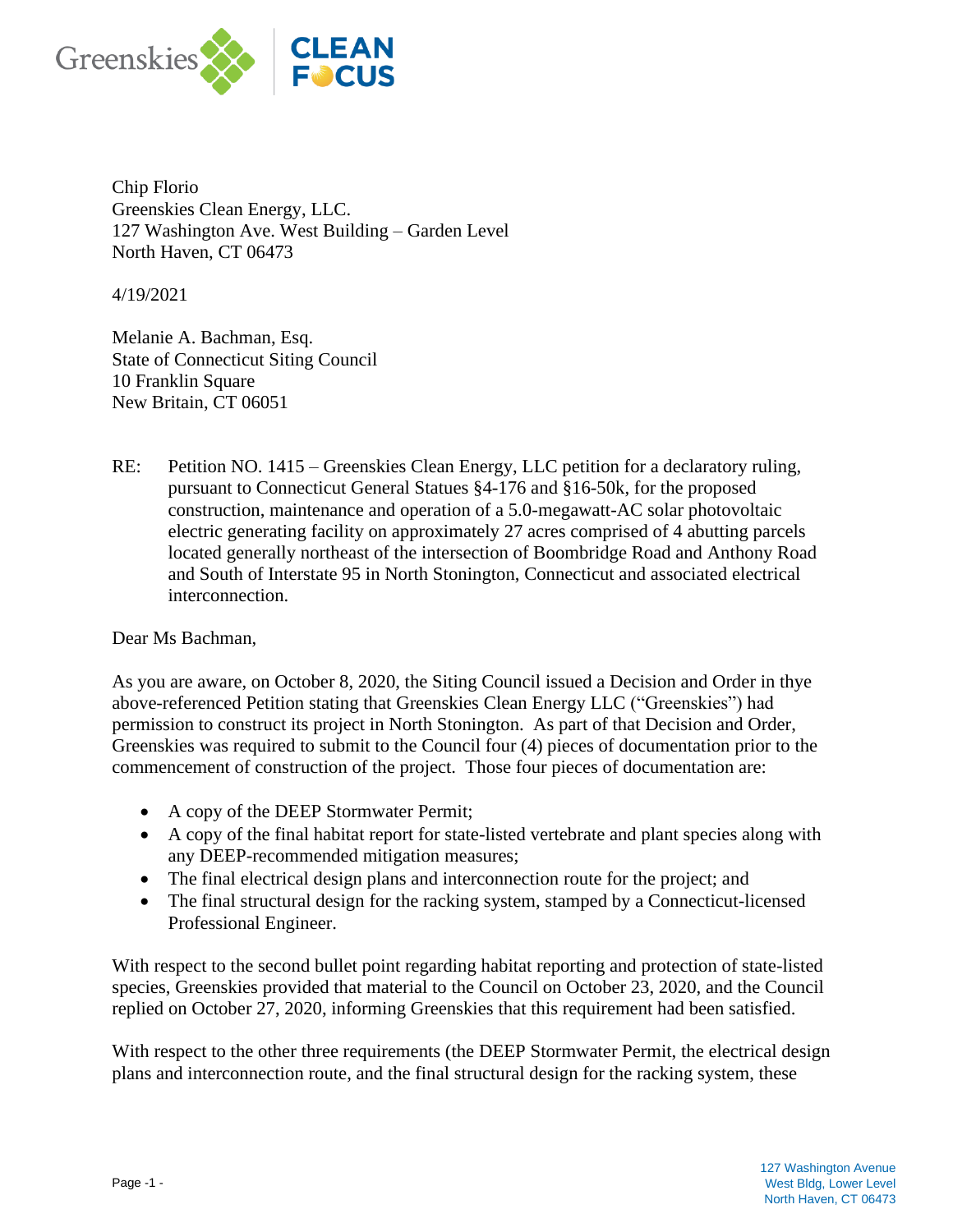

Chip Florio Greenskies Clean Energy, LLC. 127 Washington Ave. West Building – Garden Level North Haven, CT 06473

4/19/2021

Melanie A. Bachman, Esq. State of Connecticut Siting Council 10 Franklin Square New Britain, CT 06051

RE: Petition NO. 1415 – Greenskies Clean Energy, LLC petition for a declaratory ruling, pursuant to Connecticut General Statues §4-176 and §16-50k, for the proposed construction, maintenance and operation of a 5.0-megawatt-AC solar photovoltaic electric generating facility on approximately 27 acres comprised of 4 abutting parcels located generally northeast of the intersection of Boombridge Road and Anthony Road and South of Interstate 95 in North Stonington, Connecticut and associated electrical interconnection.

Dear Ms Bachman,

As you are aware, on October 8, 2020, the Siting Council issued a Decision and Order in thye above-referenced Petition stating that Greenskies Clean Energy LLC ("Greenskies") had permission to construct its project in North Stonington. As part of that Decision and Order, Greenskies was required to submit to the Council four (4) pieces of documentation prior to the commencement of construction of the project. Those four pieces of documentation are:

- A copy of the DEEP Stormwater Permit;
- A copy of the final habitat report for state-listed vertebrate and plant species along with any DEEP-recommended mitigation measures;
- The final electrical design plans and interconnection route for the project; and
- The final structural design for the racking system, stamped by a Connecticut-licensed Professional Engineer.

With respect to the second bullet point regarding habitat reporting and protection of state-listed species, Greenskies provided that material to the Council on October 23, 2020, and the Council replied on October 27, 2020, informing Greenskies that this requirement had been satisfied.

With respect to the other three requirements (the DEEP Stormwater Permit, the electrical design plans and interconnection route, and the final structural design for the racking system, these